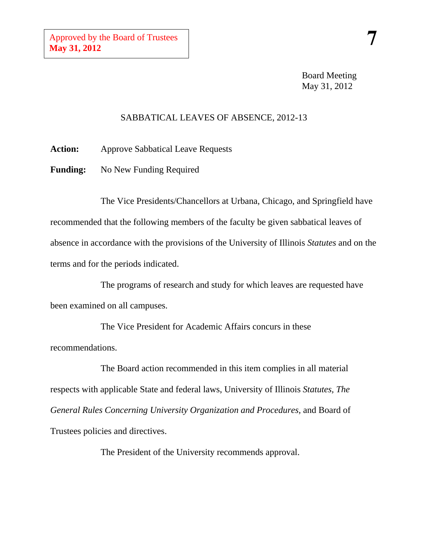#### SABBATICAL LEAVES OF ABSENCE, 2012-13

**Action:** Approve Sabbatical Leave Requests

**Funding:** No New Funding Required

The Vice Presidents/Chancellors at Urbana, Chicago, and Springfield have recommended that the following members of the faculty be given sabbatical leaves of absence in accordance with the provisions of the University of Illinois *Statutes* and on the terms and for the periods indicated.

The programs of research and study for which leaves are requested have been examined on all campuses.

The Vice President for Academic Affairs concurs in these recommendations.

The Board action recommended in this item complies in all material respects with applicable State and federal laws, University of Illinois *Statutes, The General Rules Concerning University Organization and Procedures,* and Board of Trustees policies and directives.

The President of the University recommends approval.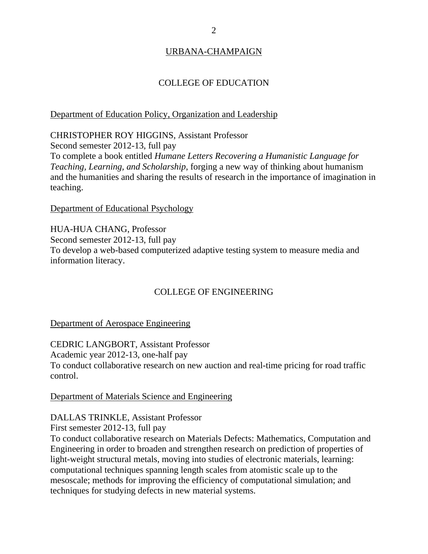# URBANA-CHAMPAIGN

## COLLEGE OF EDUCATION

### Department of Education Policy, Organization and Leadership

CHRISTOPHER ROY HIGGINS, Assistant Professor Second semester 2012-13, full pay To complete a book entitled *Humane Letters Recovering a Humanistic Language for Teaching, Learning, and Scholarship*, forging a new way of thinking about humanism and the humanities and sharing the results of research in the importance of imagination in teaching.

Department of Educational Psychology

HUA-HUA CHANG, Professor Second semester 2012-13, full pay To develop a web-based computerized adaptive testing system to measure media and information literacy.

# COLLEGE OF ENGINEERING

Department of Aerospace Engineering

CEDRIC LANGBORT, Assistant Professor Academic year 2012-13, one-half pay To conduct collaborative research on new auction and real-time pricing for road traffic control.

Department of Materials Science and Engineering

DALLAS TRINKLE, Assistant Professor

First semester 2012-13, full pay

To conduct collaborative research on Materials Defects: Mathematics, Computation and Engineering in order to broaden and strengthen research on prediction of properties of light-weight structural metals, moving into studies of electronic materials, learning: computational techniques spanning length scales from atomistic scale up to the mesoscale; methods for improving the efficiency of computational simulation; and techniques for studying defects in new material systems.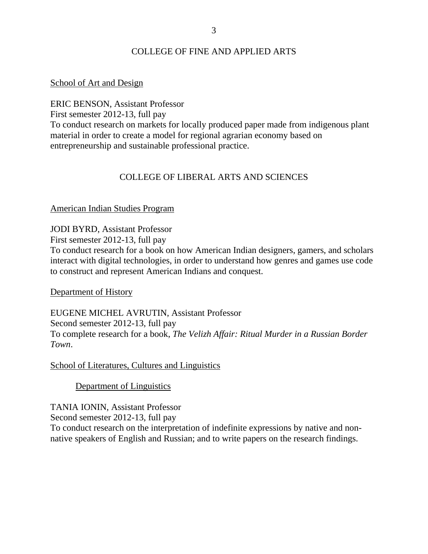## COLLEGE OF FINE AND APPLIED ARTS

#### School of Art and Design

ERIC BENSON, Assistant Professor

First semester 2012-13, full pay

To conduct research on markets for locally produced paper made from indigenous plant material in order to create a model for regional agrarian economy based on entrepreneurship and sustainable professional practice.

## COLLEGE OF LIBERAL ARTS AND SCIENCES

### American Indian Studies Program

JODI BYRD, Assistant Professor

First semester 2012-13, full pay

To conduct research for a book on how American Indian designers, gamers, and scholars interact with digital technologies, in order to understand how genres and games use code to construct and represent American Indians and conquest.

Department of History

EUGENE MICHEL AVRUTIN, Assistant Professor Second semester 2012-13, full pay To complete research for a book, *The Velizh Affair: Ritual Murder in a Russian Border Town*.

School of Literatures, Cultures and Linguistics

Department of Linguistics

TANIA IONIN, Assistant Professor Second semester 2012-13, full pay To conduct research on the interpretation of indefinite expressions by native and nonnative speakers of English and Russian; and to write papers on the research findings.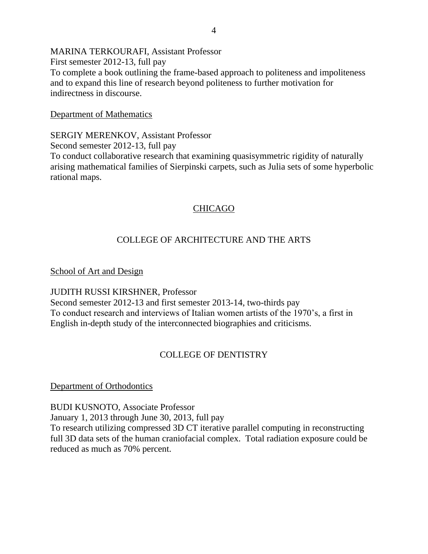MARINA TERKOURAFI, Assistant Professor First semester 2012-13, full pay To complete a book outlining the frame-based approach to politeness and impoliteness and to expand this line of research beyond politeness to further motivation for indirectness in discourse.

Department of Mathematics

SERGIY MERENKOV, Assistant Professor Second semester 2012-13, full pay To conduct collaborative research that examining quasisymmetric rigidity of naturally arising mathematical families of Sierpinski carpets, such as Julia sets of some hyperbolic rational maps.

# CHICAGO

# COLLEGE OF ARCHITECTURE AND THE ARTS

School of Art and Design

JUDITH RUSSI KIRSHNER, Professor Second semester 2012-13 and first semester 2013-14, two-thirds pay To conduct research and interviews of Italian women artists of the 1970's, a first in English in-depth study of the interconnected biographies and criticisms.

# COLLEGE OF DENTISTRY

## Department of Orthodontics

BUDI KUSNOTO, Associate Professor January 1, 2013 through June 30, 2013, full pay To research utilizing compressed 3D CT iterative parallel computing in reconstructing full 3D data sets of the human craniofacial complex. Total radiation exposure could be reduced as much as 70% percent.